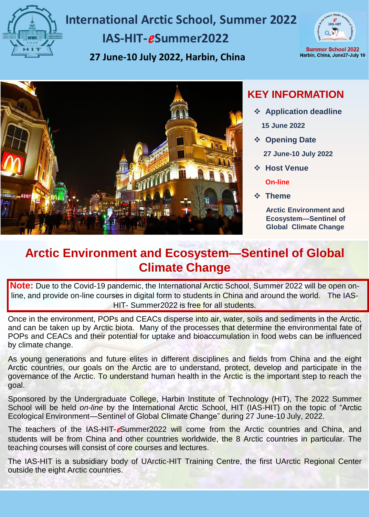

# **International Arctic School, Summer 2022 IAS-HIT-***e***Summer2022**

**27 June-10 July 2022, Harbin, China**



**Summer School 2022** Harbin, China, June27-July 10



## **KEY INFORMATION**

❖ **Application deadline**

**15 June 2022**

- ❖ **Opening Date**
	- **27 June-10 July 2022**
- ❖ **Host Venue**
	- **On-line**
- ❖ **Theme**

**Arctic Environment and Ecosystem—Sentinel of Global Climate Change**

## **Arctic Environment and Ecosystem—Sentinel of Global Climate Change**

**Note:** Due to the Covid-19 pandemic, the International Arctic School, Summer 2022 will be open online, and provide on-line courses in digital form to students in China and around the world. The IAS-HIT- Summer2022 is free for all students.

Once in the environment, POPs and CEACs disperse into air, water, soils and sediments in the Arctic, and can be taken up by Arctic biota. Many of the processes that determine the environmental fate of POPs and CEACs and their potential for uptake and bioaccumulation in food webs can be influenced by climate change.

As young generations and future elites in different disciplines and fields from China and the eight Arctic countries, our goals on the Arctic are to understand, protect, develop and participate in the governance of the Arctic. To understand human health in the Arctic is the important step to reach the goal.

Sponsored by the Undergraduate College, Harbin Institute of Technology (HIT), The 2022 Summer School will be held *on-line* by the International Arctic School, HIT (IAS-HIT) on the topic of "Arctic Ecological Environment—Sentinel of Global Climate Change" during 27 June-10 July, 2022.

The teachers of the IAS-HIT-*e*Summer2022 will come from the Arctic countries and China, and students will be from China and other countries worldwide, the 8 Arctic countries in particular. The teaching courses will consist of core courses and lectures.

The IAS-HIT is a subsidiary body of UArctic-HIT Training Centre, the first UArctic Regional Center outside the eight Arctic countries.